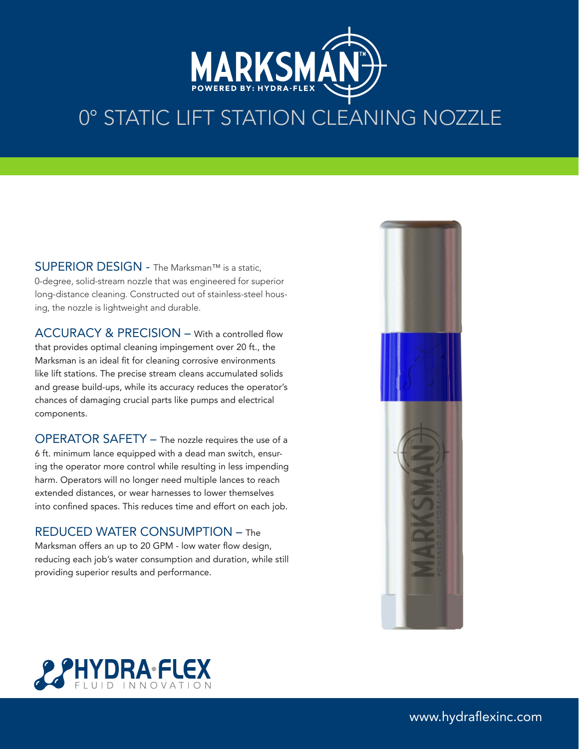

## 0° STATIC LIFT STATION CLEANING NOZZLE

SUPERIOR DESIGN - The Marksman™ is a static. 0-degree, solid-stream nozzle that was engineered for superior long-distance cleaning. Constructed out of stainless-steel housing, the nozzle is lightweight and durable.

ACCURACY & PRECISION – With a controlled flow that provides optimal cleaning impingement over 20 ft., the Marksman is an ideal fit for cleaning corrosive environments like lift stations. The precise stream cleans accumulated solids and grease build-ups, while its accuracy reduces the operator's chances of damaging crucial parts like pumps and electrical components.

OPERATOR SAFETY – The nozzle requires the use of a 6 ft. minimum lance equipped with a dead man switch, ensuring the operator more control while resulting in less impending harm. Operators will no longer need multiple lances to reach extended distances, or wear harnesses to lower themselves into confined spaces. This reduces time and effort on each job.

## REDUCED WATER CONSUMPTION – The

Marksman offers an up to 20 GPM - low water flow design, reducing each job's water consumption and duration, while still providing superior results and performance.